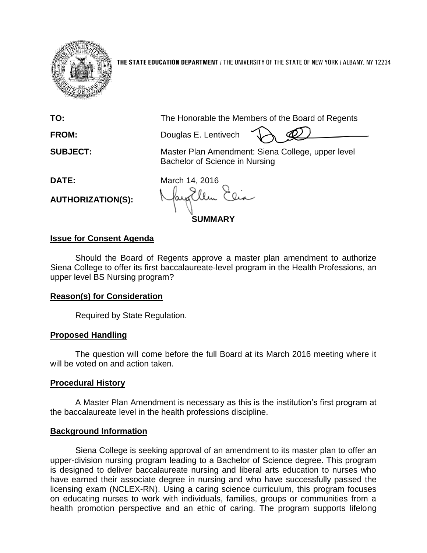

**THE STATE EDUCATION DEPARTMENT** / THE UNIVERSITY OF THE STATE OF NEW YORK / ALBANY, NY 12234

**TO:** The Honorable the Members of the Board of Regents

**FROM:** Douglas E. Lentivech

**SUBJECT:** Master Plan Amendment: Siena College, upper level Bachelor of Science in Nursing

**AUTHORIZATION(S):**

**DATE:** March 14, 2016 **SUMMARY**

### **Issue for Consent Agenda**

Should the Board of Regents approve a master plan amendment to authorize Siena College to offer its first baccalaureate-level program in the Health Professions, an upper level BS Nursing program?

### **Reason(s) for Consideration**

Required by State Regulation.

# **Proposed Handling**

The question will come before the full Board at its March 2016 meeting where it will be voted on and action taken.

# **Procedural History**

A Master Plan Amendment is necessary as this is the institution's first program at the baccalaureate level in the health professions discipline.

# **Background Information**

Siena College is seeking approval of an amendment to its master plan to offer an upper-division nursing program leading to a Bachelor of Science degree. This program is designed to deliver baccalaureate nursing and liberal arts education to nurses who have earned their associate degree in nursing and who have successfully passed the licensing exam (NCLEX-RN). Using a caring science curriculum, this program focuses on educating nurses to work with individuals, families, groups or communities from a health promotion perspective and an ethic of caring. The program supports lifelong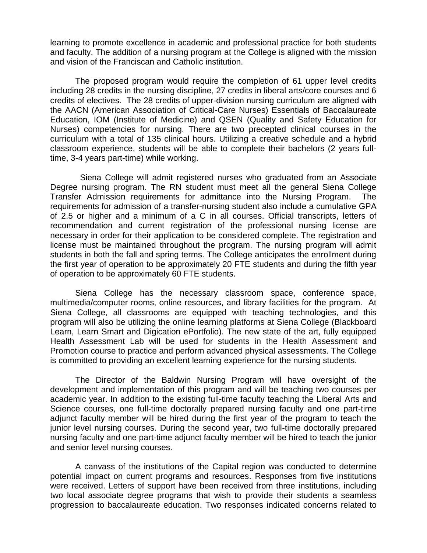learning to promote excellence in academic and professional practice for both students and faculty. The addition of a nursing program at the College is aligned with the mission and vision of the Franciscan and Catholic institution.

The proposed program would require the completion of 61 upper level credits including 28 credits in the nursing discipline, 27 credits in liberal arts/core courses and 6 credits of electives. The 28 credits of upper-division nursing curriculum are aligned with the AACN (American Association of Critical-Care Nurses) Essentials of Baccalaureate Education, IOM (Institute of Medicine) and QSEN (Quality and Safety Education for Nurses) competencies for nursing. There are two precepted clinical courses in the curriculum with a total of 135 clinical hours. Utilizing a creative schedule and a hybrid classroom experience, students will be able to complete their bachelors (2 years fulltime, 3-4 years part-time) while working.

 Siena College will admit registered nurses who graduated from an Associate Degree nursing program. The RN student must meet all the general Siena College Transfer Admission requirements for admittance into the Nursing Program. The requirements for admission of a transfer-nursing student also include a cumulative GPA of 2.5 or higher and a minimum of a C in all courses. Official transcripts, letters of recommendation and current registration of the professional nursing license are necessary in order for their application to be considered complete. The registration and license must be maintained throughout the program. The nursing program will admit students in both the fall and spring terms. The College anticipates the enrollment during the first year of operation to be approximately 20 FTE students and during the fifth year of operation to be approximately 60 FTE students.

Siena College has the necessary classroom space, conference space, multimedia/computer rooms, online resources, and library facilities for the program. At Siena College, all classrooms are equipped with teaching technologies, and this program will also be utilizing the online learning platforms at Siena College (Blackboard Learn, Learn Smart and Digication ePortfolio). The new state of the art, fully equipped Health Assessment Lab will be used for students in the Health Assessment and Promotion course to practice and perform advanced physical assessments. The College is committed to providing an excellent learning experience for the nursing students.

The Director of the Baldwin Nursing Program will have oversight of the development and implementation of this program and will be teaching two courses per academic year. In addition to the existing full-time faculty teaching the Liberal Arts and Science courses, one full-time doctorally prepared nursing faculty and one part-time adjunct faculty member will be hired during the first year of the program to teach the junior level nursing courses. During the second year, two full-time doctorally prepared nursing faculty and one part-time adjunct faculty member will be hired to teach the junior and senior level nursing courses.

A canvass of the institutions of the Capital region was conducted to determine potential impact on current programs and resources. Responses from five institutions were received. Letters of support have been received from three institutions, including two local associate degree programs that wish to provide their students a seamless progression to baccalaureate education. Two responses indicated concerns related to